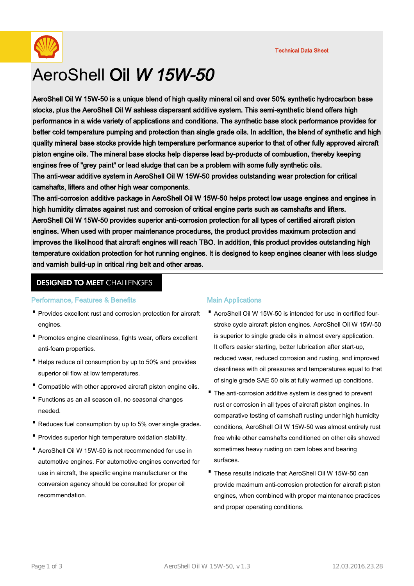Technical Data Sheet



# AeroShell Oil W 15W-50

AeroShell Oil W 15W-50 is a unique blend of high quality mineral oil and over 50% synthetic hydrocarbon base stocks, plus the AeroShell Oil W ashless dispersant additive system. This semi-synthetic blend offers high performance in a wide variety of applications and conditions. The synthetic base stock performance provides for better cold temperature pumping and protection than single grade oils. In addition, the blend of synthetic and high quality mineral base stocks provide high temperature performance superior to that of other fully approved aircraft piston engine oils. The mineral base stocks help disperse lead by-products of combustion, thereby keeping engines free of "grey paint" or lead sludge that can be a problem with some fully synthetic oils. The anti-wear additive system in AeroShell Oil W 15W-50 provides outstanding wear protection for critical camshafts, lifters and other high wear components.

The anti-corrosion additive package in AeroShell Oil W 15W-50 helps protect low usage engines and engines in high humidity climates against rust and corrosion of critical engine parts such as camshafts and lifters. AeroShell Oil W 15W-50 provides superior anti-corrosion protection for all types of certified aircraft piston engines. When used with proper maintenance procedures, the product provides maximum protection and improves the likelihood that aircraft engines will reach TBO. In addition, this product provides outstanding high temperature oxidation protection for hot running engines. It is designed to keep engines cleaner with less sludge and varnish build-up in critical ring belt and other areas.

## **DESIGNED TO MEET CHALLENGES**

## Performance, Features & Benefits

- Provides excellent rust and corrosion protection for aircraft engines.
- Promotes engine cleanliness, fights wear, offers excellent anti-foam properties.
- Helps reduce oil consumption by up to 50% and provides superior oil flow at low temperatures.
- · Compatible with other approved aircraft piston engine oils.
- Functions as an all season oil, no seasonal changes needed.
- · Reduces fuel consumption by up to 5% over single grades.
- · Provides superior high temperature oxidation stability.
- AeroShell Oil W 15W-50 is not recommended for use in automotive engines. For automotive engines converted for use in aircraft, the specific engine manufacturer or the conversion agency should be consulted for proper oil recommendation.

## Main Applications

- AeroShell Oil W 15W-50 is intended for use in certified fourstroke cycle aircraft piston engines. AeroShell Oil W 15W-50 is superior to single grade oils in almost every application. It offers easier starting, better lubrication after start-up, reduced wear, reduced corrosion and rusting, and improved cleanliness with oil pressures and temperatures equal to that of single grade SAE 50 oils at fully warmed up conditions.
- The anti-corrosion additive system is designed to prevent rust or corrosion in all types of aircraft piston engines. In comparative testing of camshaft rusting under high humidity conditions, AeroShell Oil W 15W-50 was almost entirely rust free while other camshafts conditioned on other oils showed sometimes heavy rusting on cam lobes and bearing surfaces.
- These results indicate that AeroShell Oil W 15W-50 can provide maximum anti-corrosion protection for aircraft piston engines, when combined with proper maintenance practices and proper operating conditions.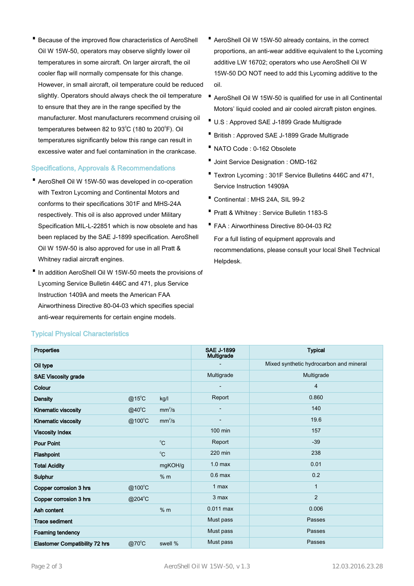• Because of the improved flow characteristics of AeroShell Oil W 15W-50, operators may observe slightly lower oil temperatures in some aircraft. On larger aircraft, the oil cooler flap will normally compensate for this change. However, in small aircraft, oil temperature could be reduced slightly. Operators should always check the oil temperature AeroShell Oil W 15W-50 is qualified for use in all Continental<br>A exercise that they are in the range exerified by the to ensure that they are in the range specified by the manufacturer. Most manufacturers recommend cruising oil temperatures between 82 to 93 $^{\circ}$ C (180 to 200 $^{\circ}$ F). Oil temperatures significantly below this range can result in excessive water and fuel contamination in the crankcase.

## Specifications, Approvals & Recommendations

- AeroShell Oil W 15W-50 was developed in co-operation · with Textron Lycoming and Continental Motors and conforms to their specifications 301F and MHS-24A respectively. This oil is also approved under Military Specification MIL-L-22851 which is now obsolete and has been replaced by the SAE J-1899 specification. AeroShell Oil W 15W-50 is also approved for use in all Pratt & Whitney radial aircraft engines.
- In addition AeroShell Oil W 15W-50 meets the provisions of Lycoming Service Bulletin 446C and 471, plus Service Instruction 1409A and meets the American FAA Airworthiness Directive 80-04-03 which specifies special anti-wear requirements for certain engine models.
- AeroShell Oil W 15W-50 already contains, in the correct proportions, an anti-wear additive equivalent to the Lycoming additive LW 16702; operators who use AeroShell Oil W 15W-50 DO NOT need to add this Lycoming additive to the oil.
- Motors' liquid cooled and air cooled aircraft piston engines.
- · U.S : Approved SAE J-1899 Grade Multigrade
- · British : Approved SAE J-1899 Grade Multigrade
- · NATO Code : 0-162 Obsolete
- · Joint Service Designation : OMD-162
- Textron Lycoming : 301F Service Bulletins 446C and 471, Service Instruction 14909A
- · Continental : MHS 24A, SIL 99-2
- · Pratt & Whitney : Service Bulletin 1183-S
- · FAA : Airworthiness Directive 80-04-03 R2 For a full listing of equipment approvals and recommendations, please consult your local Shell Technical Helpdesk.

| <b>Properties</b>                     |                 |                    | <b>SAE J-1899</b><br><b>Multigrade</b> | <b>Typical</b>                          |
|---------------------------------------|-----------------|--------------------|----------------------------------------|-----------------------------------------|
| Oil type                              |                 |                    |                                        | Mixed synthetic hydrocarbon and mineral |
| <b>SAE Viscosity grade</b>            |                 |                    | Multigrade                             | Multigrade                              |
| Colour                                |                 |                    |                                        | $\overline{4}$                          |
| <b>Density</b>                        | $@15^{\circ}$ C | kg/l               | Report                                 | 0.860                                   |
| Kinematic viscosity                   | @40°C           | mm <sup>2</sup> /s |                                        | 140                                     |
| Kinematic viscosity                   | @100°C          | mm <sup>2</sup> /s |                                        | 19.6                                    |
| <b>Viscosity Index</b>                |                 |                    | 100 min                                | 157                                     |
| <b>Pour Point</b>                     |                 | $^{\circ}C$        | Report                                 | $-39$                                   |
| Flashpoint                            |                 | $^0C$              | 220 min                                | 238                                     |
| <b>Total Acidity</b>                  |                 | mgKOH/g            | 1.0 <sub>max</sub>                     | 0.01                                    |
| Sulphur                               |                 | % m                | $0.6$ max                              | 0.2                                     |
| Copper corrosion 3 hrs                | @100°C          |                    | 1 max                                  | $\mathbf{1}$                            |
| Copper corrosion 3 hrs                | @204°C          |                    | 3 max                                  | 2                                       |
| Ash content                           |                 | % m                | $0.011$ max                            | 0.006                                   |
| <b>Trace sediment</b>                 |                 |                    | Must pass                              | Passes                                  |
| Foaming tendency                      |                 |                    | Must pass                              | Passes                                  |
| <b>Elastomer Compatibility 72 hrs</b> | $@70^{\circ}$ C | swell %            | Must pass                              | Passes                                  |

## Typical Physical Characteristics